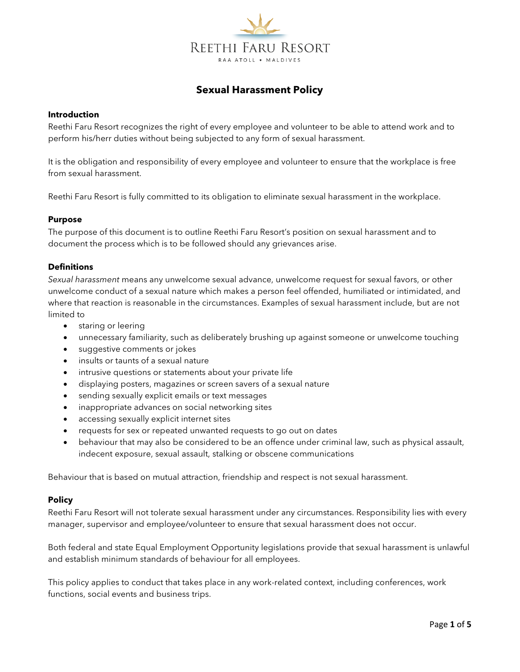

# **Sexual Harassment Policy**

### **Introduction**

Reethi Faru Resort recognizes the right of every employee and volunteer to be able to attend work and to perform his/herr duties without being subjected to any form of sexual harassment.

It is the obligation and responsibility of every employee and volunteer to ensure that the workplace is free from sexual harassment.

Reethi Faru Resort is fully committed to its obligation to eliminate sexual harassment in the workplace.

### **Purpose**

The purpose of this document is to outline Reethi Faru Resort's position on sexual harassment and to document the process which is to be followed should any grievances arise.

### **Definitions**

*Sexual harassment* means any unwelcome sexual advance, unwelcome request for sexual favors, or other unwelcome conduct of a sexual nature which makes a person feel offended, humiliated or intimidated, and where that reaction is reasonable in the circumstances. Examples of sexual harassment include, but are not limited to

- staring or leering
- unnecessary familiarity, such as deliberately brushing up against someone or unwelcome touching
- suggestive comments or jokes
- insults or taunts of a sexual nature
- intrusive questions or statements about your private life
- displaying posters, magazines or screen savers of a sexual nature
- sending sexually explicit emails or text messages
- inappropriate advances on social networking sites
- accessing sexually explicit internet sites
- requests for sex or repeated unwanted requests to go out on dates
- behaviour that may also be considered to be an offence under criminal law, such as physical assault, indecent exposure, sexual assault, stalking or obscene communications

Behaviour that is based on mutual attraction, friendship and respect is not sexual harassment.

#### **Policy**

Reethi Faru Resort will not tolerate sexual harassment under any circumstances. Responsibility lies with every manager, supervisor and employee/volunteer to ensure that sexual harassment does not occur.

Both federal and state Equal Employment Opportunity legislations provide that sexual harassment is unlawful and establish minimum standards of behaviour for all employees.

This policy applies to conduct that takes place in any work-related context, including conferences, work functions, social events and business trips.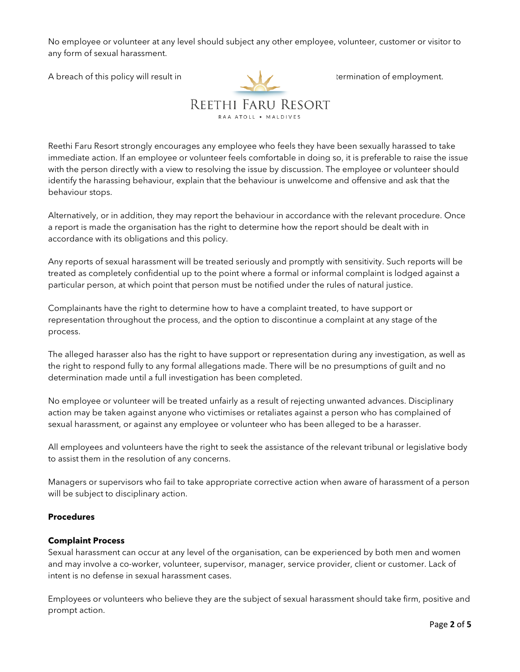No employee or volunteer at any level should subject any other employee, volunteer, customer or visitor to any form of sexual harassment.



Reethi Faru Resort strongly encourages any employee who feels they have been sexually harassed to take immediate action. If an employee or volunteer feels comfortable in doing so, it is preferable to raise the issue with the person directly with a view to resolving the issue by discussion. The employee or volunteer should identify the harassing behaviour, explain that the behaviour is unwelcome and offensive and ask that the behaviour stops.

Alternatively, or in addition, they may report the behaviour in accordance with the relevant procedure. Once a report is made the organisation has the right to determine how the report should be dealt with in accordance with its obligations and this policy.

Any reports of sexual harassment will be treated seriously and promptly with sensitivity. Such reports will be treated as completely confidential up to the point where a formal or informal complaint is lodged against a particular person, at which point that person must be notified under the rules of natural justice.

Complainants have the right to determine how to have a complaint treated, to have support or representation throughout the process, and the option to discontinue a complaint at any stage of the process.

The alleged harasser also has the right to have support or representation during any investigation, as well as the right to respond fully to any formal allegations made. There will be no presumptions of guilt and no determination made until a full investigation has been completed.

No employee or volunteer will be treated unfairly as a result of rejecting unwanted advances. Disciplinary action may be taken against anyone who victimises or retaliates against a person who has complained of sexual harassment, or against any employee or volunteer who has been alleged to be a harasser.

All employees and volunteers have the right to seek the assistance of the relevant tribunal or legislative body to assist them in the resolution of any concerns.

Managers or supervisors who fail to take appropriate corrective action when aware of harassment of a person will be subject to disciplinary action.

# **Procedures**

#### **Complaint Process**

Sexual harassment can occur at any level of the organisation, can be experienced by both men and women and may involve a co-worker, volunteer, supervisor, manager, service provider, client or customer. Lack of intent is no defense in sexual harassment cases.

Employees or volunteers who believe they are the subject of sexual harassment should take firm, positive and prompt action.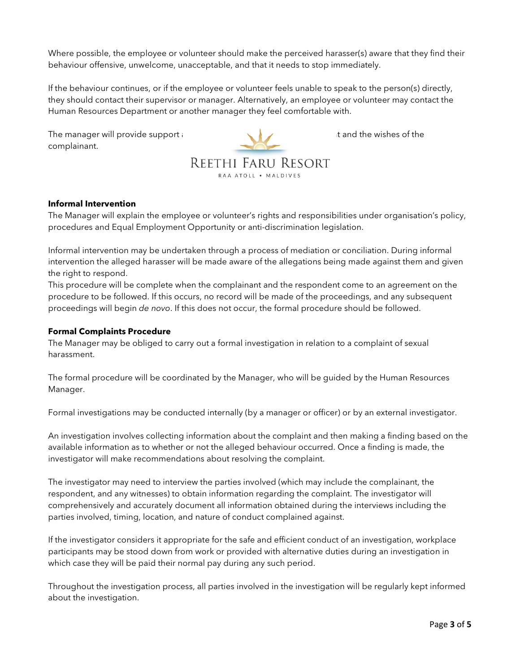Where possible, the employee or volunteer should make the perceived harasser(s) aware that they find their behaviour offensive, unwelcome, unacceptable, and that it needs to stop immediately.

If the behaviour continues, or if the employee or volunteer feels unable to speak to the person(s) directly, they should contact their supervisor or manager. Alternatively, an employee or volunteer may contact the Human Resources Department or another manager they feel comfortable with.

complainant.



# **Informal Intervention**

The Manager will explain the employee or volunteer's rights and responsibilities under organisation's policy, procedures and Equal Employment Opportunity or anti-discrimination legislation.

Informal intervention may be undertaken through a process of mediation or conciliation. During informal intervention the alleged harasser will be made aware of the allegations being made against them and given the right to respond.

This procedure will be complete when the complainant and the respondent come to an agreement on the procedure to be followed. If this occurs, no record will be made of the proceedings, and any subsequent proceedings will begin *de novo*. If this does not occur, the formal procedure should be followed.

### **Formal Complaints Procedure**

The Manager may be obliged to carry out a formal investigation in relation to a complaint of sexual harassment.

The formal procedure will be coordinated by the Manager, who will be guided by the Human Resources Manager.

Formal investigations may be conducted internally (by a manager or officer) or by an external investigator.

An investigation involves collecting information about the complaint and then making a finding based on the available information as to whether or not the alleged behaviour occurred. Once a finding is made, the investigator will make recommendations about resolving the complaint.

The investigator may need to interview the parties involved (which may include the complainant, the respondent, and any witnesses) to obtain information regarding the complaint. The investigator will comprehensively and accurately document all information obtained during the interviews including the parties involved, timing, location, and nature of conduct complained against.

If the investigator considers it appropriate for the safe and efficient conduct of an investigation, workplace participants may be stood down from work or provided with alternative duties during an investigation in which case they will be paid their normal pay during any such period.

Throughout the investigation process, all parties involved in the investigation will be regularly kept informed about the investigation.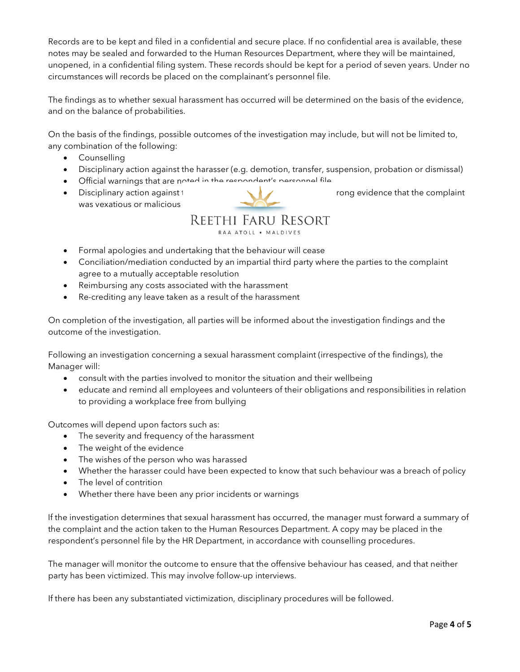Records are to be kept and filed in a confidential and secure place. If no confidential area is available, these notes may be sealed and forwarded to the Human Resources Department, where they will be maintained, unopened, in a confidential filing system. These records should be kept for a period of seven years. Under no circumstances will records be placed on the complainant's personnel file.

The findings as to whether sexual harassment has occurred will be determined on the basis of the evidence, and on the balance of probabilities.

On the basis of the findings, possible outcomes of the investigation may include, but will not be limited to, any combination of the following:

- Counselling
- Disciplinary action against the harasser (e.g. demotion, transfer, suspension, probation or dismissal)
- Official warnings that are noted in the respondent's personnel file
- Disciplinary action against the person who complaint is strong evidence that the complaint was vexatious or malicious



- Formal apologies and undertaking that the behaviour will cease
- Conciliation/mediation conducted by an impartial third party where the parties to the complaint agree to a mutually acceptable resolution
- Reimbursing any costs associated with the harassment
- Re-crediting any leave taken as a result of the harassment

On completion of the investigation, all parties will be informed about the investigation findings and the outcome of the investigation.

Following an investigation concerning a sexual harassment complaint (irrespective of the findings), the Manager will:

- consult with the parties involved to monitor the situation and their wellbeing
- educate and remind all employees and volunteers of their obligations and responsibilities in relation to providing a workplace free from bullying

Outcomes will depend upon factors such as:

- The severity and frequency of the harassment
- The weight of the evidence
- The wishes of the person who was harassed
- Whether the harasser could have been expected to know that such behaviour was a breach of policy
- The level of contrition
- Whether there have been any prior incidents or warnings

If the investigation determines that sexual harassment has occurred, the manager must forward a summary of the complaint and the action taken to the Human Resources Department. A copy may be placed in the respondent's personnel file by the HR Department, in accordance with counselling procedures.

The manager will monitor the outcome to ensure that the offensive behaviour has ceased, and that neither party has been victimized. This may involve follow-up interviews.

If there has been any substantiated victimization, disciplinary procedures will be followed.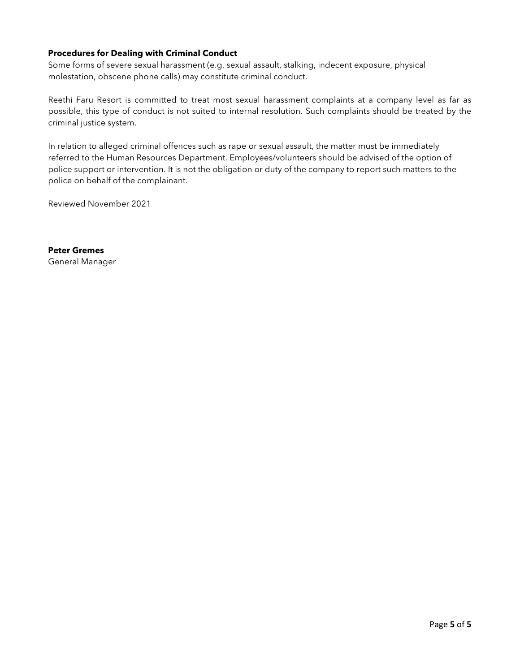# **Procedures for Dealing with Criminal Conduct**

Some forms of severe sexual harassment (e.g. sexual assault, stalking, indecent exposure, physical molestation, obscene phone calls) may constitute criminal conduct.

Reethi Faru Resort is committed to treat most sexual harassment complaints at a company level as far as possible, this type of conduct is not suited to internal resolution. Such complaints should be treated by the criminal justice system.

In relation to alleged criminal offences such as rape or sexual assault, the matter must be immediately referred to the Human Resources Department. Employees/volunteers should be advised of the option of police support or intervention. It is not the obligation or duty of the company to report such matters to the police on behalf of the complainant.

Reviewed November 2021

**Peter Gremes** General Manager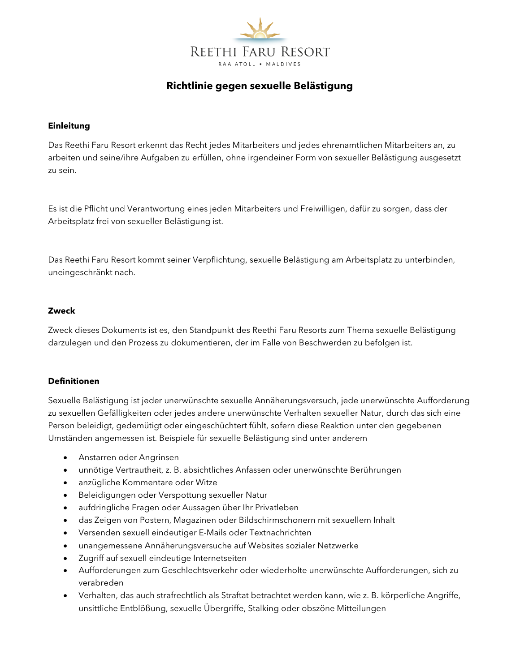

# **Richtlinie gegen sexuelle Belästigung**

# **Einleitung**

Das Reethi Faru Resort erkennt das Recht jedes Mitarbeiters und jedes ehrenamtlichen Mitarbeiters an, zu arbeiten und seine/ihre Aufgaben zu erfüllen, ohne irgendeiner Form von sexueller Belästigung ausgesetzt zu sein.

Es ist die Pflicht und Verantwortung eines jeden Mitarbeiters und Freiwilligen, dafür zu sorgen, dass der Arbeitsplatz frei von sexueller Belästigung ist.

Das Reethi Faru Resort kommt seiner Verpflichtung, sexuelle Belästigung am Arbeitsplatz zu unterbinden, uneingeschränkt nach.

# **Zweck**

Zweck dieses Dokuments ist es, den Standpunkt des Reethi Faru Resorts zum Thema sexuelle Belästigung darzulegen und den Prozess zu dokumentieren, der im Falle von Beschwerden zu befolgen ist.

# **Definitionen**

Sexuelle Belästigung ist jeder unerwünschte sexuelle Annäherungsversuch, jede unerwünschte Aufforderung zu sexuellen Gefälligkeiten oder jedes andere unerwünschte Verhalten sexueller Natur, durch das sich eine Person beleidigt, gedemütigt oder eingeschüchtert fühlt, sofern diese Reaktion unter den gegebenen Umständen angemessen ist. Beispiele für sexuelle Belästigung sind unter anderem

- Anstarren oder Angrinsen
- unnötige Vertrautheit, z. B. absichtliches Anfassen oder unerwünschte Berührungen
- anzügliche Kommentare oder Witze
- Beleidigungen oder Verspottung sexueller Natur
- aufdringliche Fragen oder Aussagen über Ihr Privatleben
- das Zeigen von Postern, Magazinen oder Bildschirmschonern mit sexuellem Inhalt
- Versenden sexuell eindeutiger E-Mails oder Textnachrichten
- unangemessene Annäherungsversuche auf Websites sozialer Netzwerke
- Zugriff auf sexuell eindeutige Internetseiten
- Aufforderungen zum Geschlechtsverkehr oder wiederholte unerwünschte Aufforderungen, sich zu verabreden
- Verhalten, das auch strafrechtlich als Straftat betrachtet werden kann, wie z. B. körperliche Angriffe, unsittliche Entblößung, sexuelle Übergriffe, Stalking oder obszöne Mitteilungen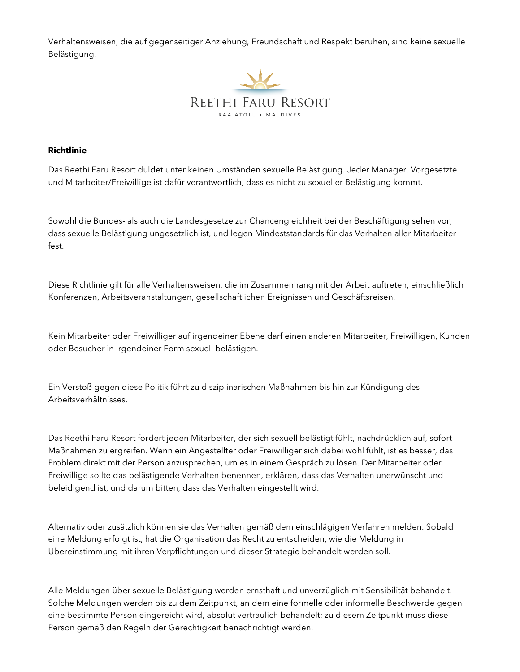Verhaltensweisen, die auf gegenseitiger Anziehung, Freundschaft und Respekt beruhen, sind keine sexuelle Belästigung.



### **Richtlinie**

Das Reethi Faru Resort duldet unter keinen Umständen sexuelle Belästigung. Jeder Manager, Vorgesetzte und Mitarbeiter/Freiwillige ist dafür verantwortlich, dass es nicht zu sexueller Belästigung kommt.

Sowohl die Bundes- als auch die Landesgesetze zur Chancengleichheit bei der Beschäftigung sehen vor, dass sexuelle Belästigung ungesetzlich ist, und legen Mindeststandards für das Verhalten aller Mitarbeiter fest.

Diese Richtlinie gilt für alle Verhaltensweisen, die im Zusammenhang mit der Arbeit auftreten, einschließlich Konferenzen, Arbeitsveranstaltungen, gesellschaftlichen Ereignissen und Geschäftsreisen.

Kein Mitarbeiter oder Freiwilliger auf irgendeiner Ebene darf einen anderen Mitarbeiter, Freiwilligen, Kunden oder Besucher in irgendeiner Form sexuell belästigen.

Ein Verstoß gegen diese Politik führt zu disziplinarischen Maßnahmen bis hin zur Kündigung des Arbeitsverhältnisses.

Das Reethi Faru Resort fordert jeden Mitarbeiter, der sich sexuell belästigt fühlt, nachdrücklich auf, sofort Maßnahmen zu ergreifen. Wenn ein Angestellter oder Freiwilliger sich dabei wohl fühlt, ist es besser, das Problem direkt mit der Person anzusprechen, um es in einem Gespräch zu lösen. Der Mitarbeiter oder Freiwillige sollte das belästigende Verhalten benennen, erklären, dass das Verhalten unerwünscht und beleidigend ist, und darum bitten, dass das Verhalten eingestellt wird.

Alternativ oder zusätzlich können sie das Verhalten gemäß dem einschlägigen Verfahren melden. Sobald eine Meldung erfolgt ist, hat die Organisation das Recht zu entscheiden, wie die Meldung in Übereinstimmung mit ihren Verpflichtungen und dieser Strategie behandelt werden soll.

Alle Meldungen über sexuelle Belästigung werden ernsthaft und unverzüglich mit Sensibilität behandelt. Solche Meldungen werden bis zu dem Zeitpunkt, an dem eine formelle oder informelle Beschwerde gegen eine bestimmte Person eingereicht wird, absolut vertraulich behandelt; zu diesem Zeitpunkt muss diese Person gemäß den Regeln der Gerechtigkeit benachrichtigt werden.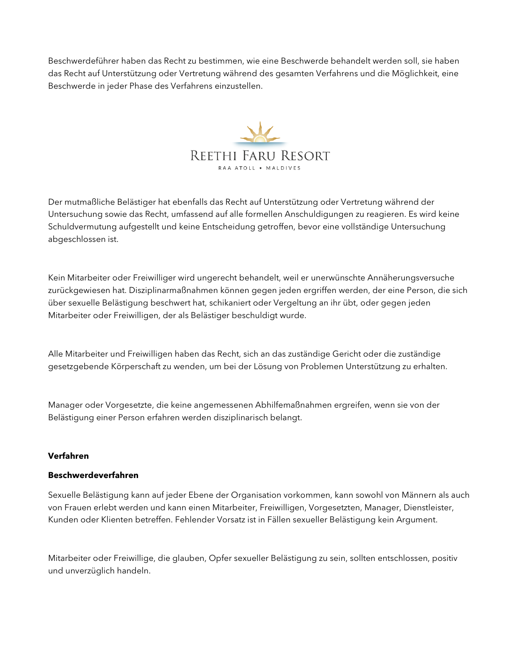Beschwerdeführer haben das Recht zu bestimmen, wie eine Beschwerde behandelt werden soll, sie haben das Recht auf Unterstützung oder Vertretung während des gesamten Verfahrens und die Möglichkeit, eine Beschwerde in jeder Phase des Verfahrens einzustellen.



Der mutmaßliche Belästiger hat ebenfalls das Recht auf Unterstützung oder Vertretung während der Untersuchung sowie das Recht, umfassend auf alle formellen Anschuldigungen zu reagieren. Es wird keine Schuldvermutung aufgestellt und keine Entscheidung getroffen, bevor eine vollständige Untersuchung abgeschlossen ist.

Kein Mitarbeiter oder Freiwilliger wird ungerecht behandelt, weil er unerwünschte Annäherungsversuche zurückgewiesen hat. Disziplinarmaßnahmen können gegen jeden ergriffen werden, der eine Person, die sich über sexuelle Belästigung beschwert hat, schikaniert oder Vergeltung an ihr übt, oder gegen jeden Mitarbeiter oder Freiwilligen, der als Belästiger beschuldigt wurde.

Alle Mitarbeiter und Freiwilligen haben das Recht, sich an das zuständige Gericht oder die zuständige gesetzgebende Körperschaft zu wenden, um bei der Lösung von Problemen Unterstützung zu erhalten.

Manager oder Vorgesetzte, die keine angemessenen Abhilfemaßnahmen ergreifen, wenn sie von der Belästigung einer Person erfahren werden disziplinarisch belangt.

# **Verfahren**

# **Beschwerdeverfahren**

Sexuelle Belästigung kann auf jeder Ebene der Organisation vorkommen, kann sowohl von Männern als auch von Frauen erlebt werden und kann einen Mitarbeiter, Freiwilligen, Vorgesetzten, Manager, Dienstleister, Kunden oder Klienten betreffen. Fehlender Vorsatz ist in Fällen sexueller Belästigung kein Argument.

Mitarbeiter oder Freiwillige, die glauben, Opfer sexueller Belästigung zu sein, sollten entschlossen, positiv und unverzüglich handeln.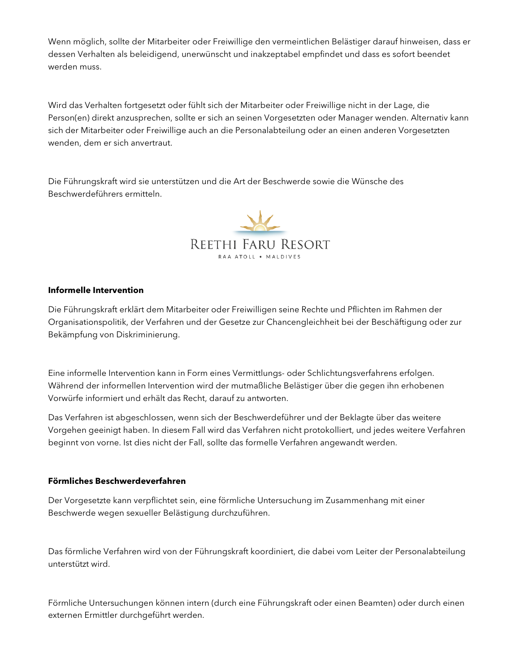Wenn möglich, sollte der Mitarbeiter oder Freiwillige den vermeintlichen Belästiger darauf hinweisen, dass er dessen Verhalten als beleidigend, unerwünscht und inakzeptabel empfindet und dass es sofort beendet werden muss.

Wird das Verhalten fortgesetzt oder fühlt sich der Mitarbeiter oder Freiwillige nicht in der Lage, die Person(en) direkt anzusprechen, sollte er sich an seinen Vorgesetzten oder Manager wenden. Alternativ kann sich der Mitarbeiter oder Freiwillige auch an die Personalabteilung oder an einen anderen Vorgesetzten wenden, dem er sich anvertraut.

Die Führungskraft wird sie unterstützen und die Art der Beschwerde sowie die Wünsche des Beschwerdeführers ermitteln.



# **Informelle Intervention**

Die Führungskraft erklärt dem Mitarbeiter oder Freiwilligen seine Rechte und Pflichten im Rahmen der Organisationspolitik, der Verfahren und der Gesetze zur Chancengleichheit bei der Beschäftigung oder zur Bekämpfung von Diskriminierung.

Eine informelle Intervention kann in Form eines Vermittlungs- oder Schlichtungsverfahrens erfolgen. Während der informellen Intervention wird der mutmaßliche Belästiger über die gegen ihn erhobenen Vorwürfe informiert und erhält das Recht, darauf zu antworten.

Das Verfahren ist abgeschlossen, wenn sich der Beschwerdeführer und der Beklagte über das weitere Vorgehen geeinigt haben. In diesem Fall wird das Verfahren nicht protokolliert, und jedes weitere Verfahren beginnt von vorne. Ist dies nicht der Fall, sollte das formelle Verfahren angewandt werden.

# **Förmliches Beschwerdeverfahren**

Der Vorgesetzte kann verpflichtet sein, eine förmliche Untersuchung im Zusammenhang mit einer Beschwerde wegen sexueller Belästigung durchzuführen.

Das förmliche Verfahren wird von der Führungskraft koordiniert, die dabei vom Leiter der Personalabteilung unterstützt wird.

Förmliche Untersuchungen können intern (durch eine Führungskraft oder einen Beamten) oder durch einen externen Ermittler durchgeführt werden.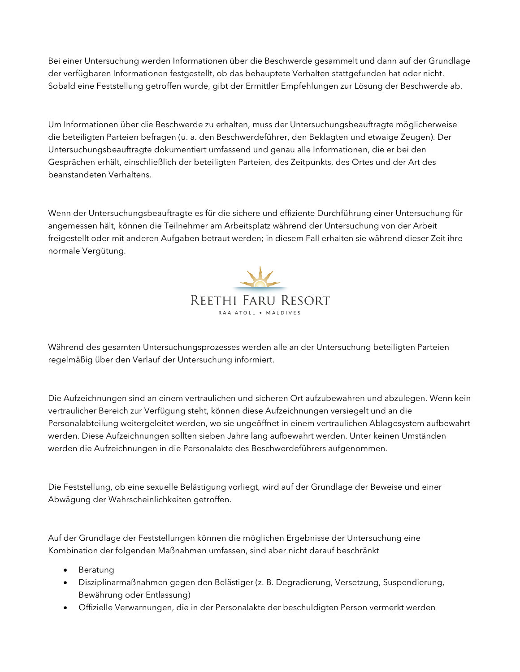Bei einer Untersuchung werden Informationen über die Beschwerde gesammelt und dann auf der Grundlage der verfügbaren Informationen festgestellt, ob das behauptete Verhalten stattgefunden hat oder nicht. Sobald eine Feststellung getroffen wurde, gibt der Ermittler Empfehlungen zur Lösung der Beschwerde ab.

Um Informationen über die Beschwerde zu erhalten, muss der Untersuchungsbeauftragte möglicherweise die beteiligten Parteien befragen (u. a. den Beschwerdeführer, den Beklagten und etwaige Zeugen). Der Untersuchungsbeauftragte dokumentiert umfassend und genau alle Informationen, die er bei den Gesprächen erhält, einschließlich der beteiligten Parteien, des Zeitpunkts, des Ortes und der Art des beanstandeten Verhaltens.

Wenn der Untersuchungsbeauftragte es für die sichere und effiziente Durchführung einer Untersuchung für angemessen hält, können die Teilnehmer am Arbeitsplatz während der Untersuchung von der Arbeit freigestellt oder mit anderen Aufgaben betraut werden; in diesem Fall erhalten sie während dieser Zeit ihre normale Vergütung.



Während des gesamten Untersuchungsprozesses werden alle an der Untersuchung beteiligten Parteien regelmäßig über den Verlauf der Untersuchung informiert.

Die Aufzeichnungen sind an einem vertraulichen und sicheren Ort aufzubewahren und abzulegen. Wenn kein vertraulicher Bereich zur Verfügung steht, können diese Aufzeichnungen versiegelt und an die Personalabteilung weitergeleitet werden, wo sie ungeöffnet in einem vertraulichen Ablagesystem aufbewahrt werden. Diese Aufzeichnungen sollten sieben Jahre lang aufbewahrt werden. Unter keinen Umständen werden die Aufzeichnungen in die Personalakte des Beschwerdeführers aufgenommen.

Die Feststellung, ob eine sexuelle Belästigung vorliegt, wird auf der Grundlage der Beweise und einer Abwägung der Wahrscheinlichkeiten getroffen.

Auf der Grundlage der Feststellungen können die möglichen Ergebnisse der Untersuchung eine Kombination der folgenden Maßnahmen umfassen, sind aber nicht darauf beschränkt

- Beratung
- Disziplinarmaßnahmen gegen den Belästiger (z. B. Degradierung, Versetzung, Suspendierung, Bewährung oder Entlassung)
- Offizielle Verwarnungen, die in der Personalakte der beschuldigten Person vermerkt werden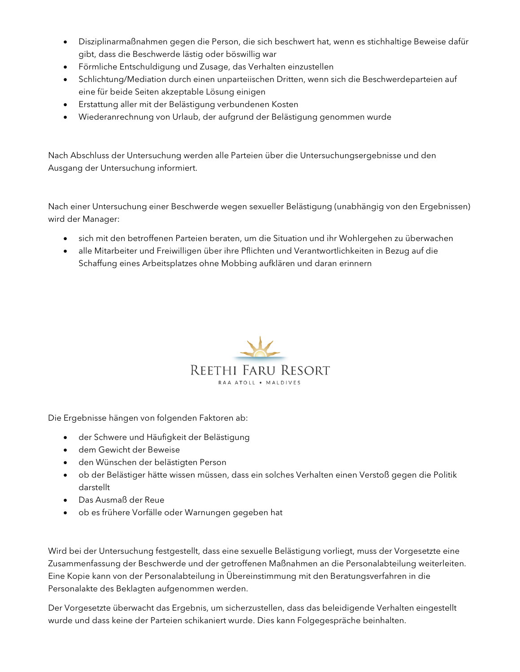- Disziplinarmaßnahmen gegen die Person, die sich beschwert hat, wenn es stichhaltige Beweise dafür gibt, dass die Beschwerde lästig oder böswillig war
- Förmliche Entschuldigung und Zusage, das Verhalten einzustellen
- Schlichtung/Mediation durch einen unparteiischen Dritten, wenn sich die Beschwerdeparteien auf eine für beide Seiten akzeptable Lösung einigen
- Erstattung aller mit der Belästigung verbundenen Kosten
- Wiederanrechnung von Urlaub, der aufgrund der Belästigung genommen wurde

Nach Abschluss der Untersuchung werden alle Parteien über die Untersuchungsergebnisse und den Ausgang der Untersuchung informiert.

Nach einer Untersuchung einer Beschwerde wegen sexueller Belästigung (unabhängig von den Ergebnissen) wird der Manager:

- sich mit den betroffenen Parteien beraten, um die Situation und ihr Wohlergehen zu überwachen
- alle Mitarbeiter und Freiwilligen über ihre Pflichten und Verantwortlichkeiten in Bezug auf die Schaffung eines Arbeitsplatzes ohne Mobbing aufklären und daran erinnern



Die Ergebnisse hängen von folgenden Faktoren ab:

- der Schwere und Häufigkeit der Belästigung
- dem Gewicht der Beweise
- den Wünschen der belästigten Person
- ob der Belästiger hätte wissen müssen, dass ein solches Verhalten einen Verstoß gegen die Politik darstellt
- Das Ausmaß der Reue
- ob es frühere Vorfälle oder Warnungen gegeben hat

Wird bei der Untersuchung festgestellt, dass eine sexuelle Belästigung vorliegt, muss der Vorgesetzte eine Zusammenfassung der Beschwerde und der getroffenen Maßnahmen an die Personalabteilung weiterleiten. Eine Kopie kann von der Personalabteilung in Übereinstimmung mit den Beratungsverfahren in die Personalakte des Beklagten aufgenommen werden.

Der Vorgesetzte überwacht das Ergebnis, um sicherzustellen, dass das beleidigende Verhalten eingestellt wurde und dass keine der Parteien schikaniert wurde. Dies kann Folgegespräche beinhalten.